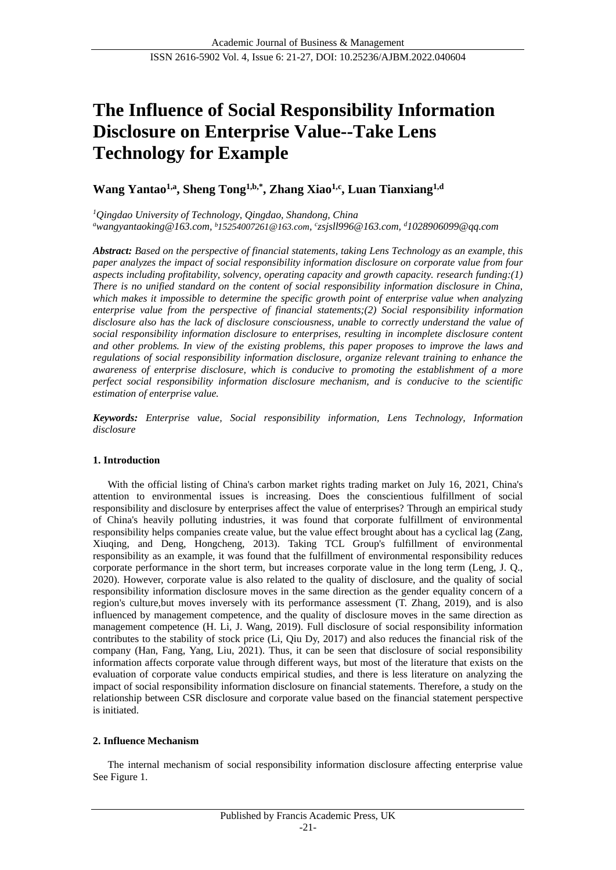# **The Influence of Social Responsibility Information Disclosure on Enterprise Value--Take Lens Technology for Example**

# **Wang Yantao1,a, Sheng Tong1,b,\* , Zhang Xiao1,c , Luan Tianxiang1,d**

*<sup>1</sup>Qingdao University of Technology, Qingdao, Shandong, China <sup>a</sup>wangyantaoking@163.com, <sup>b</sup>15254007261@163.com, c zsjsll996@163.com, <sup>d</sup>1028906099@qq.com*

*Abstract: Based on the perspective of financial statements, taking Lens Technology as an example, this paper analyzes the impact of social responsibility information disclosure on corporate value from four aspects including profitability, solvency, operating capacity and growth capacity. [research funding:](http://www.youdao.com/w/eng/research%20funding/?spc=research%20funding#keyfrom=dict.typo)(1) There is no unified standard on the content of social responsibility information disclosure in China, which makes it impossible to determine the specific growth point of enterprise value when analyzing enterprise value from the perspective of financial statements;(2) Social responsibility information disclosure also has the lack of disclosure consciousness, unable to correctly understand the value of social responsibility information disclosure to enterprises, resulting in incomplete disclosure content and other problems. In view of the existing problems, this paper proposes to improve the laws and regulations of social responsibility information disclosure, organize relevant training to enhance the awareness of enterprise disclosure, which is conducive to promoting the establishment of a more perfect social responsibility information disclosure mechanism, and is conducive to the scientific estimation of enterprise value.*

*Keywords: [Enterprise value,](http://www.youdao.com/w/enterprise%20value/#keyfrom=E2Ctranslation) Social responsibility information, Lens Technology, [Information](http://www.youdao.com/w/information%20disclosure/#keyfrom=E2Ctranslation)  [disclosure](http://www.youdao.com/w/information%20disclosure/#keyfrom=E2Ctranslation)*

# **1. Introduction**

With the official listing of China's carbon market rights trading market on July 16, 2021, China's attention to environmental issues is increasing. Does the conscientious fulfillment of social responsibility and disclosure by enterprises affect the value of enterprises? Through an empirical study of China's heavily polluting industries, it was found that corporate fulfillment of environmental responsibility helps companies create value, but the value effect brought about has a cyclical lag (Zang, Xiuqing, and Deng, Hongcheng, 2013). Taking TCL Group's fulfillment of environmental responsibility as an example, it was found that the fulfillment of environmental responsibility reduces corporate performance in the short term, but increases corporate value in the long term (Leng, J. Q., 2020). However, corporate value is also related to the quality of disclosure, and the quality of social responsibility information disclosure moves in the same direction as the gender equality concern of a region's culture,but moves inversely with its performance assessment (T. Zhang, 2019), and is also influenced by management competence, and the quality of disclosure moves in the same direction as management competence (H. Li, J. Wang, 2019). Full disclosure of social responsibility information contributes to the stability of stock price (Li, Qiu Dy, 2017) and also reduces the financial risk of the company (Han, Fang, Yang, Liu, 2021). Thus, it can be seen that disclosure of social responsibility information affects corporate value through different ways, but most of the literature that exists on the evaluation of corporate value conducts empirical studies, and there is less literature on analyzing the impact of social responsibility information disclosure on financial statements. Therefore, a study on the relationship between CSR disclosure and corporate value based on the financial statement perspective is initiated.

#### **2. Influence Mechanism**

The internal mechanism of social responsibility information disclosure affecting enterprise value See Figure 1.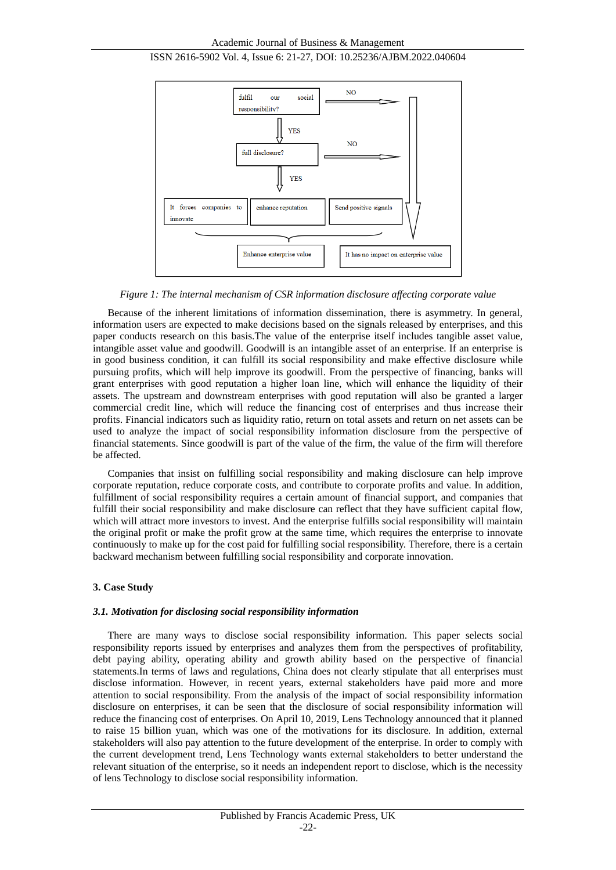

*Figure 1: The internal mechanism of CSR information disclosure affecting corporate value*

Because of the inherent limitations of information dissemination, there is asymmetry. In general, information users are expected to make decisions based on the signals released by enterprises, and this paper conducts research on this basis.The value of the enterprise itself includes tangible asset value, intangible asset value and goodwill. Goodwill is an intangible asset of an enterprise. If an enterprise is in good business condition, it can fulfill its social responsibility and make effective disclosure while pursuing profits, which will help improve its goodwill. From the perspective of financing, banks will grant enterprises with good reputation a higher loan line, which will enhance the liquidity of their assets. The upstream and downstream enterprises with good reputation will also be granted a larger commercial credit line, which will reduce the financing cost of enterprises and thus increase their profits. Financial indicators such as liquidity ratio, return on total assets and return on net assets can be used to analyze the impact of social responsibility information disclosure from the perspective of financial statements. Since goodwill is part of the value of the firm, the value of the firm will therefore be affected.

Companies that insist on fulfilling social responsibility and making disclosure can help improve corporate reputation, reduce corporate costs, and contribute to corporate profits and value. In addition, fulfillment of social responsibility requires a certain amount of financial support, and companies that fulfill their social responsibility and make disclosure can reflect that they have sufficient capital flow, which will attract more investors to invest. And the enterprise fulfills social responsibility will maintain the original profit or make the profit grow at the same time, which requires the enterprise to innovate continuously to make up for the cost paid for fulfilling social responsibility. Therefore, there is a certain backward mechanism between fulfilling social responsibility and corporate innovation.

#### **3. Case Study**

#### *3.1. Motivation for disclosing social responsibility information*

There are many ways to disclose social responsibility information. This paper selects social responsibility reports issued by enterprises and analyzes them from the perspectives of profitability, debt paying ability, operating ability and growth ability based on the perspective of financial statements.In terms of laws and regulations, China does not clearly stipulate that all enterprises must disclose information. However, in recent years, external stakeholders have paid more and more attention to social responsibility. From the analysis of the impact of social responsibility information disclosure on enterprises, it can be seen that the disclosure of social responsibility information will reduce the financing cost of enterprises. On April 10, 2019, Lens Technology announced that it planned to raise 15 billion yuan, which was one of the motivations for its disclosure. In addition, external stakeholders will also pay attention to the future development of the enterprise. In order to comply with the current development trend, Lens Technology wants external stakeholders to better understand the relevant situation of the enterprise, so it needs an independent report to disclose, which is the necessity of lens Technology to disclose social responsibility information.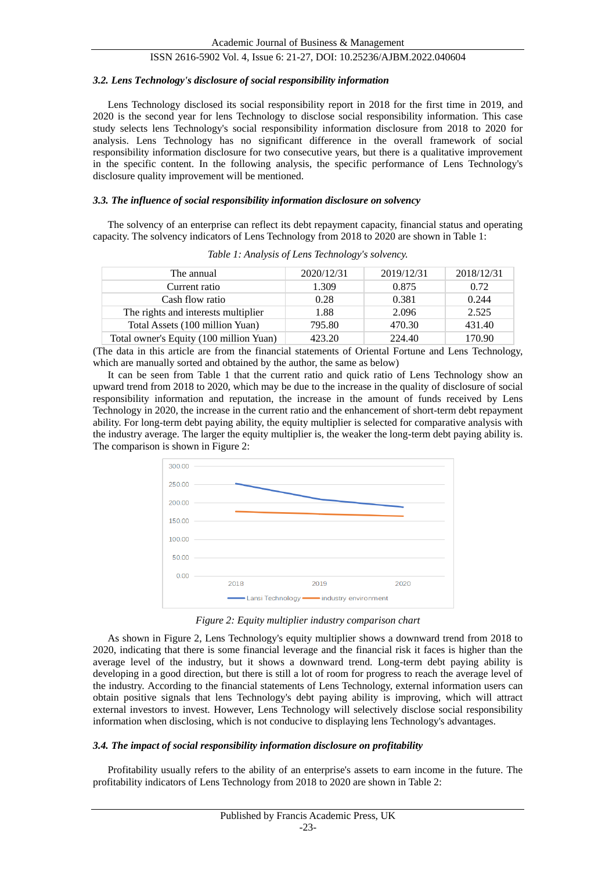#### *3.2. Lens Technology's disclosure of social responsibility information*

Lens Technology disclosed its social responsibility report in 2018 for the first time in 2019, and 2020 is the second year for lens Technology to disclose social responsibility information. This case study selects lens Technology's social responsibility information disclosure from 2018 to 2020 for analysis. Lens Technology has no significant difference in the overall framework of social responsibility information disclosure for two consecutive years, but there is a qualitative improvement in the specific content. In the following analysis, the specific performance of Lens Technology's disclosure quality improvement will be mentioned.

#### *3.3. The influence of social responsibility information disclosure on solvency*

The solvency of an enterprise can reflect its debt repayment capacity, financial status and operating capacity. The solvency indicators of Lens Technology from 2018 to 2020 are shown in Table 1:

| The annual                              | 2020/12/31 | 2019/12/31 | 2018/12/31 |
|-----------------------------------------|------------|------------|------------|
| Current ratio                           | 1.309      | 0.875      | 0.72       |
| Cash flow ratio                         | 0.28       | 0.381      | 0.244      |
| The rights and interests multiplier     | 1.88       | 2.096      | 2.525      |
| Total Assets (100 million Yuan)         | 795.80     | 470.30     | 431.40     |
| Total owner's Equity (100 million Yuan) | 423.20     | 224.40     | 170.90     |

*Table 1: Analysis of Lens Technology's solvency.*

(The data in this article are from the financial statements of Oriental Fortune and Lens Technology, which are manually sorted and obtained by the author, the same as below)

It can be seen from Table 1 that the current ratio and quick ratio of Lens Technology show an upward trend from 2018 to 2020, which may be due to the increase in the quality of disclosure of social responsibility information and reputation, the increase in the amount of funds received by Lens Technology in 2020, the increase in the current ratio and the enhancement of short-term debt repayment ability. For long-term debt paying ability, the equity multiplier is selected for comparative analysis with the industry average. The larger the equity multiplier is, the weaker the long-term debt paying ability is. The comparison is shown in Figure 2:



*Figure 2: Equity multiplier industry comparison chart*

As shown in Figure 2, Lens Technology's equity multiplier shows a downward trend from 2018 to 2020, indicating that there is some financial leverage and the financial risk it faces is higher than the average level of the industry, but it shows a downward trend. Long-term debt paying ability is developing in a good direction, but there is still a lot of room for progress to reach the average level of the industry. According to the financial statements of Lens Technology, external information users can obtain positive signals that lens Technology's debt paying ability is improving, which will attract external investors to invest. However, Lens Technology will selectively disclose social responsibility information when disclosing, which is not conducive to displaying lens Technology's advantages.

#### *3.4. The impact of social responsibility information disclosure on profitability*

Profitability usually refers to the ability of an enterprise's assets to earn income in the future. The profitability indicators of Lens Technology from 2018 to 2020 are shown in Table 2: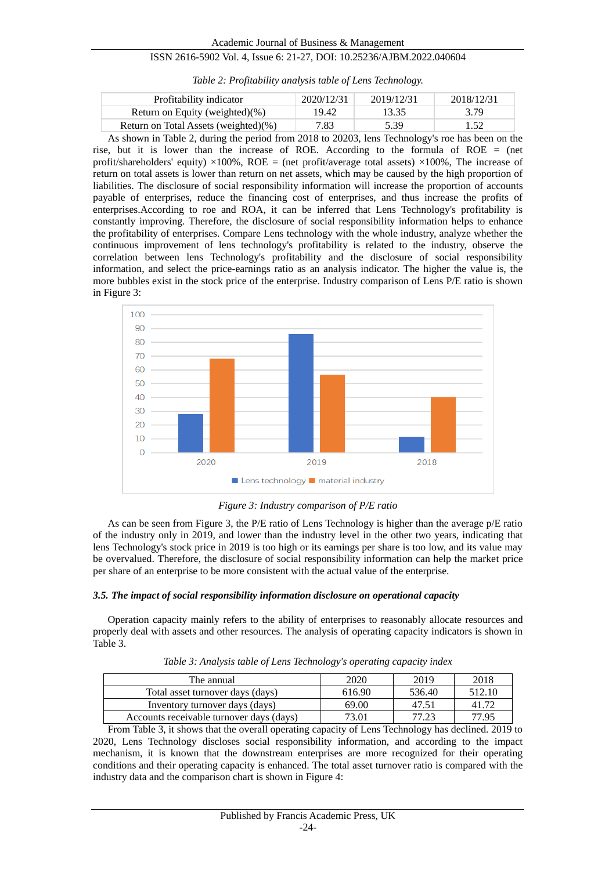| Profitability indicator              | 2020/12/31 | 2019/12/31 | 2018/12/31 |
|--------------------------------------|------------|------------|------------|
| Return on Equity (weighted) $(\% )$  | 19.42      | 13.35      | 3.79       |
| Return on Total Assets (weighted)(%) | 7.83       | 5.39       | 1.52       |

*Table 2: Profitability analysis table of Lens Technology.*

As shown in Table 2, during the period from 2018 to 20203, lens Technology's roe has been on the rise, but it is lower than the increase of ROE. According to the formula of ROE = (net profit/shareholders' equity)  $\times$ 100%, ROE = (net profit/average total assets)  $\times$ 100%. The increase of return on total assets is lower than return on net assets, which may be caused by the high proportion of liabilities. The disclosure of social responsibility information will increase the proportion of accounts payable of enterprises, reduce the financing cost of enterprises, and thus increase the profits of enterprises.According to roe and ROA, it can be inferred that Lens Technology's profitability is constantly improving. Therefore, the disclosure of social responsibility information helps to enhance the profitability of enterprises. Compare Lens technology with the whole industry, analyze whether the continuous improvement of lens technology's profitability is related to the industry, observe the correlation between lens Technology's profitability and the disclosure of social responsibility information, and select the price-earnings ratio as an analysis indicator. The higher the value is, the more bubbles exist in the stock price of the enterprise. Industry comparison of Lens P/E ratio is shown in Figure 3:



*Figure 3: Industry comparison of P/E ratio*

As can be seen from Figure 3, the P/E ratio of Lens Technology is higher than the average  $p/E$  ratio of the industry only in 2019, and lower than the industry level in the other two years, indicating that lens Technology's stock price in 2019 is too high or its earnings per share is too low, and its value may be overvalued. Therefore, the disclosure of social responsibility information can help the market price per share of an enterprise to be more consistent with the actual value of the enterprise.

#### *3.5. The impact of social responsibility information disclosure on operational capacity*

Operation capacity mainly refers to the ability of enterprises to reasonably allocate resources and properly deal with assets and other resources. The analysis of operating capacity indicators is shown in Table 3.

| The annual                               | 2020   | 2019   | 2018   |
|------------------------------------------|--------|--------|--------|
| Total asset turnover days (days)         | 616.90 | 536.40 | 512.10 |
| Inventory turnover days (days)           | 69.00  | 47.51  | 41.72  |
| Accounts receivable turnover days (days) | 73.01  |        | 77.95  |

*Table 3: Analysis table of Lens Technology's operating capacity index*

From Table 3, it shows that the overall operating capacity of Lens Technology has declined. 2019 to 2020, Lens Technology discloses social responsibility information, and according to the impact mechanism, it is known that the downstream enterprises are more recognized for their operating conditions and their operating capacity is enhanced. The total asset turnover ratio is compared with the industry data and the comparison chart is shown in Figure 4: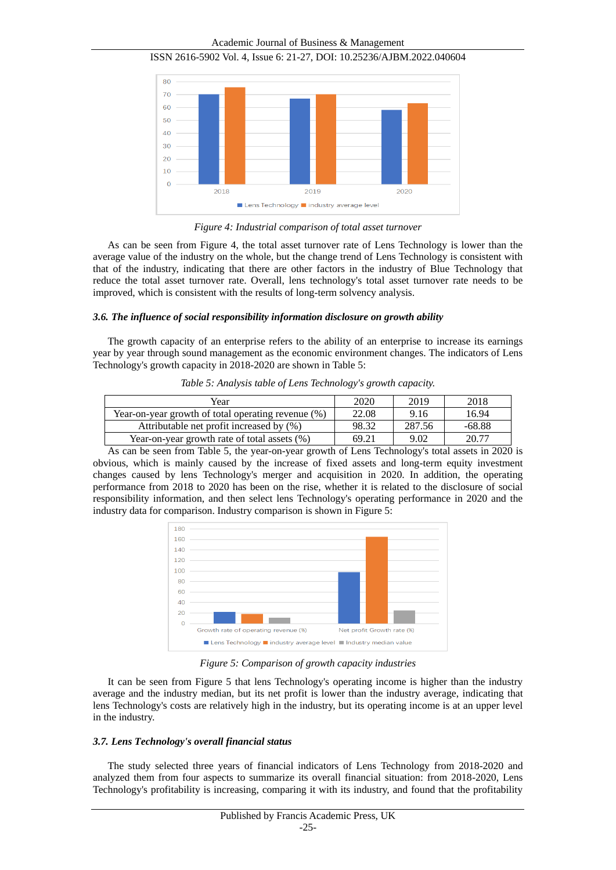Academic Journal of Business & Management



ISSN 2616-5902 Vol. 4, Issue 6: 21-27, DOI: 10.25236/AJBM.2022.040604

*Figure 4: Industrial comparison of total asset turnover*

As can be seen from Figure 4, the total asset turnover rate of Lens Technology is lower than the average value of the industry on the whole, but the change trend of Lens Technology is consistent with that of the industry, indicating that there are other factors in the industry of Blue Technology that reduce the total asset turnover rate. Overall, lens technology's total asset turnover rate needs to be improved, which is consistent with the results of long-term solvency analysis.

#### *3.6. The influence of social responsibility information disclosure on growth ability*

The growth capacity of an enterprise refers to the ability of an enterprise to increase its earnings year by year through sound management as the economic environment changes. The indicators of Lens Technology's growth capacity in 2018-2020 are shown in Table 5:

*Table 5: Analysis table of Lens Technology's growth capacity.*

| Year                                               | 2020  | 2019   | 2018     |
|----------------------------------------------------|-------|--------|----------|
| Year-on-year growth of total operating revenue (%) | 22.08 | 9.16   | 16.94    |
| Attributable net profit increased by (%)           | 98.32 | 287.56 | $-68.88$ |
| Year-on-year growth rate of total assets (%)       | 69.21 | 9.02   | 20.77    |

As can be seen from Table 5, the year-on-year growth of Lens Technology's total assets in 2020 is obvious, which is mainly caused by the increase of fixed assets and long-term equity investment changes caused by lens Technology's merger and acquisition in 2020. In addition, the operating performance from 2018 to 2020 has been on the rise, whether it is related to the disclosure of social responsibility information, and then select lens Technology's operating performance in 2020 and the industry data for comparison. Industry comparison is shown in Figure 5:



*Figure 5: Comparison of growth capacity industries*

It can be seen from Figure 5 that lens Technology's operating income is higher than the industry average and the industry median, but its net profit is lower than the industry average, indicating that lens Technology's costs are relatively high in the industry, but its operating income is at an upper level in the industry.

#### *3.7. Lens Technology's overall financial status*

The study selected three years of financial indicators of Lens Technology from 2018-2020 and analyzed them from four aspects to summarize its overall financial situation: from 2018-2020, Lens Technology's profitability is increasing, comparing it with its industry, and found that the profitability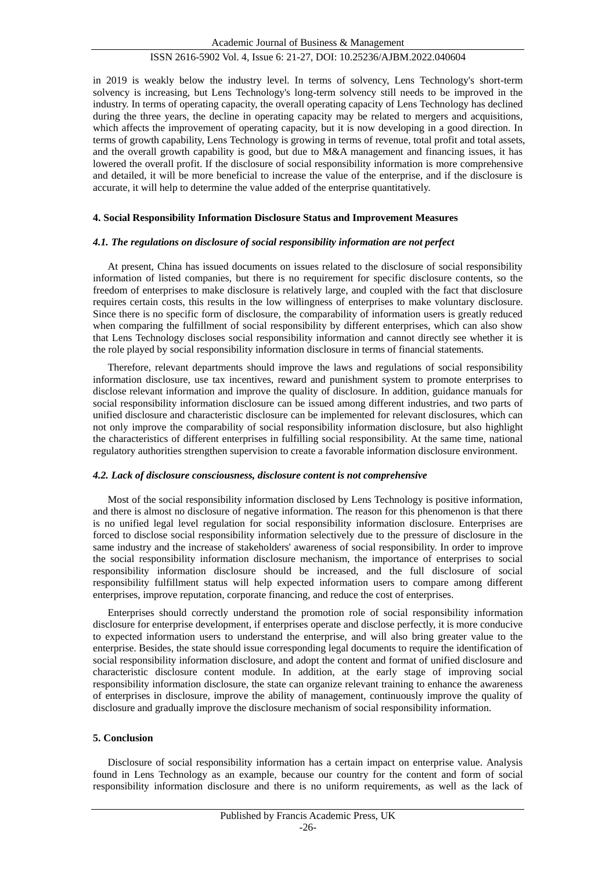in 2019 is weakly below the industry level. In terms of solvency, Lens Technology's short-term solvency is increasing, but Lens Technology's long-term solvency still needs to be improved in the industry. In terms of operating capacity, the overall operating capacity of Lens Technology has declined during the three years, the decline in operating capacity may be related to mergers and acquisitions, which affects the improvement of operating capacity, but it is now developing in a good direction. In terms of growth capability, Lens Technology is growing in terms of revenue, total profit and total assets, and the overall growth capability is good, but due to M&A management and financing issues, it has lowered the overall profit. If the disclosure of social responsibility information is more comprehensive and detailed, it will be more beneficial to increase the value of the enterprise, and if the disclosure is accurate, it will help to determine the value added of the enterprise quantitatively.

#### **4. Social Responsibility Information Disclosure Status and Improvement Measures**

#### *4.1. The regulations on disclosure of social responsibility information are not perfect*

At present, China has issued documents on issues related to the disclosure of social responsibility information of listed companies, but there is no requirement for specific disclosure contents, so the freedom of enterprises to make disclosure is relatively large, and coupled with the fact that disclosure requires certain costs, this results in the low willingness of enterprises to make voluntary disclosure. Since there is no specific form of disclosure, the comparability of information users is greatly reduced when comparing the fulfillment of social responsibility by different enterprises, which can also show that Lens Technology discloses social responsibility information and cannot directly see whether it is the role played by social responsibility information disclosure in terms of financial statements.

Therefore, relevant departments should improve the laws and regulations of social responsibility information disclosure, use tax incentives, reward and punishment system to promote enterprises to disclose relevant information and improve the quality of disclosure. In addition, guidance manuals for social responsibility information disclosure can be issued among different industries, and two parts of unified disclosure and characteristic disclosure can be implemented for relevant disclosures, which can not only improve the comparability of social responsibility information disclosure, but also highlight the characteristics of different enterprises in fulfilling social responsibility. At the same time, national regulatory authorities strengthen supervision to create a favorable information disclosure environment.

#### *4.2. Lack of disclosure consciousness, disclosure content is not comprehensive*

Most of the social responsibility information disclosed by Lens Technology is positive information, and there is almost no disclosure of negative information. The reason for this phenomenon is that there is no unified legal level regulation for social responsibility information disclosure. Enterprises are forced to disclose social responsibility information selectively due to the pressure of disclosure in the same industry and the increase of stakeholders' awareness of social responsibility. In order to improve the social responsibility information disclosure mechanism, the importance of enterprises to social responsibility information disclosure should be increased, and the full disclosure of social responsibility fulfillment status will help expected information users to compare among different enterprises, improve reputation, corporate financing, and reduce the cost of enterprises.

Enterprises should correctly understand the promotion role of social responsibility information disclosure for enterprise development, if enterprises operate and disclose perfectly, it is more conducive to expected information users to understand the enterprise, and will also bring greater value to the enterprise. Besides, the state should issue corresponding legal documents to require the identification of social responsibility information disclosure, and adopt the content and format of unified disclosure and characteristic disclosure content module. In addition, at the early stage of improving social responsibility information disclosure, the state can organize relevant training to enhance the awareness of enterprises in disclosure, improve the ability of management, continuously improve the quality of disclosure and gradually improve the disclosure mechanism of social responsibility information.

#### **5. Conclusion**

Disclosure of social responsibility information has a certain impact on enterprise value. Analysis found in Lens Technology as an example, because our country for the content and form of social responsibility information disclosure and there is no uniform requirements, as well as the lack of